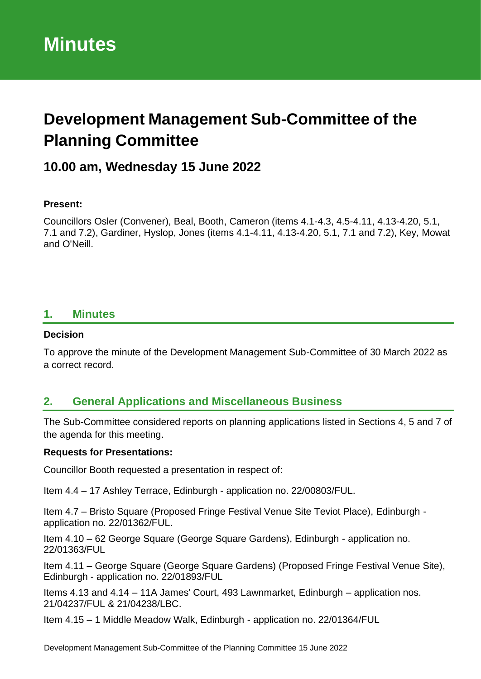# **Development Management Sub-Committee of the Planning Committee**

## **10.00 am, Wednesday 15 June 2022**

#### **Present:**

Councillors Osler (Convener), Beal, Booth, Cameron (items 4.1-4.3, 4.5-4.11, 4.13-4.20, 5.1, 7.1 and 7.2), Gardiner, Hyslop, Jones (items 4.1-4.11, 4.13-4.20, 5.1, 7.1 and 7.2), Key, Mowat and O'Neill.

### **1. Minutes**

#### **Decision**

To approve the minute of the Development Management Sub-Committee of 30 March 2022 as a correct record.

### **2. General Applications and Miscellaneous Business**

The Sub-Committee considered reports on planning applications listed in Sections 4, 5 and 7 of the agenda for this meeting.

#### **Requests for Presentations:**

Councillor Booth requested a presentation in respect of:

Item 4.4 – 17 Ashley Terrace, Edinburgh - application no. 22/00803/FUL.

Item 4.7 – Bristo Square (Proposed Fringe Festival Venue Site Teviot Place), Edinburgh application no. 22/01362/FUL.

Item 4.10 – 62 George Square (George Square Gardens), Edinburgh - application no. 22/01363/FUL

Item 4.11 – George Square (George Square Gardens) (Proposed Fringe Festival Venue Site), Edinburgh - application no. 22/01893/FUL

Items 4.13 and 4.14 – 11A James' Court, 493 Lawnmarket, Edinburgh – application nos. 21/04237/FUL & 21/04238/LBC.

Item 4.15 – 1 Middle Meadow Walk, Edinburgh - application no. 22/01364/FUL

Development Management Sub-Committee of the Planning Committee 15 June 2022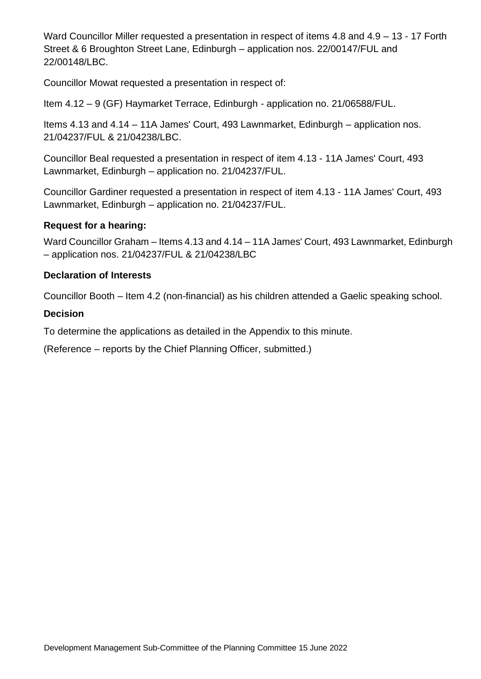Ward Councillor Miller requested a presentation in respect of items 4.8 and 4.9 – 13 - 17 Forth Street & 6 Broughton Street Lane, Edinburgh – application nos. 22/00147/FUL and 22/00148/LBC.

Councillor Mowat requested a presentation in respect of:

Item 4.12 – 9 (GF) Haymarket Terrace, Edinburgh - application no. 21/06588/FUL.

Items 4.13 and 4.14 – 11A James' Court, 493 Lawnmarket, Edinburgh – application nos. 21/04237/FUL & 21/04238/LBC.

Councillor Beal requested a presentation in respect of item 4.13 - 11A James' Court, 493 Lawnmarket, Edinburgh – application no. 21/04237/FUL.

Councillor Gardiner requested a presentation in respect of item 4.13 - 11A James' Court, 493 Lawnmarket, Edinburgh – application no. 21/04237/FUL.

#### **Request for a hearing:**

Ward Councillor Graham – Items 4.13 and 4.14 – 11A James' Court, 493 Lawnmarket, Edinburgh – application nos. 21/04237/FUL & 21/04238/LBC

#### **Declaration of Interests**

Councillor Booth – Item 4.2 (non-financial) as his children attended a Gaelic speaking school.

#### **Decision**

To determine the applications as detailed in the Appendix to this minute.

(Reference – reports by the Chief Planning Officer, submitted.)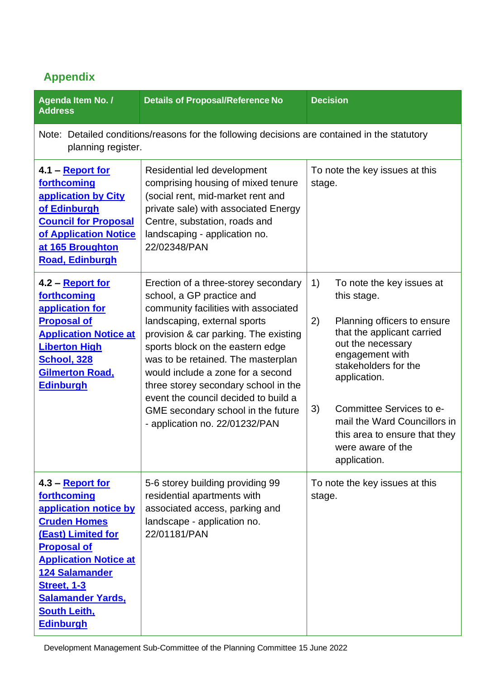# **Appendix**

| Agenda Item No. /<br><b>Address</b>                                                                                                                                                                                                                                        | <b>Details of Proposal/Reference No</b>                                                                                                                                                                                                                                                                                                                                                                                                                   | <b>Decision</b>                                                                                                                                                                                                                                                                                                                           |  |
|----------------------------------------------------------------------------------------------------------------------------------------------------------------------------------------------------------------------------------------------------------------------------|-----------------------------------------------------------------------------------------------------------------------------------------------------------------------------------------------------------------------------------------------------------------------------------------------------------------------------------------------------------------------------------------------------------------------------------------------------------|-------------------------------------------------------------------------------------------------------------------------------------------------------------------------------------------------------------------------------------------------------------------------------------------------------------------------------------------|--|
| Note: Detailed conditions/reasons for the following decisions are contained in the statutory<br>planning register.                                                                                                                                                         |                                                                                                                                                                                                                                                                                                                                                                                                                                                           |                                                                                                                                                                                                                                                                                                                                           |  |
| 4.1 – <b>Report for</b><br>forthcoming<br>application by City<br>of Edinburgh<br><b>Council for Proposal</b><br>of Application Notice<br>at 165 Broughton<br><b>Road, Edinburgh</b>                                                                                        | Residential led development<br>comprising housing of mixed tenure<br>(social rent, mid-market rent and<br>private sale) with associated Energy<br>Centre, substation, roads and<br>landscaping - application no.<br>22/02348/PAN                                                                                                                                                                                                                          | To note the key issues at this<br>stage.                                                                                                                                                                                                                                                                                                  |  |
| 4.2 - Report for<br>forthcoming<br>application for<br><b>Proposal of</b><br><b>Application Notice at</b><br><b>Liberton High</b><br><b>School, 328</b><br><b>Gilmerton Road,</b><br><b>Edinburgh</b>                                                                       | Erection of a three-storey secondary<br>school, a GP practice and<br>community facilities with associated<br>landscaping, external sports<br>provision & car parking. The existing<br>sports block on the eastern edge<br>was to be retained. The masterplan<br>would include a zone for a second<br>three storey secondary school in the<br>event the council decided to build a<br>GME secondary school in the future<br>- application no. 22/01232/PAN | 1)<br>To note the key issues at<br>this stage.<br>2)<br>Planning officers to ensure<br>that the applicant carried<br>out the necessary<br>engagement with<br>stakeholders for the<br>application.<br>Committee Services to e-<br>3)<br>mail the Ward Councillors in<br>this area to ensure that they<br>were aware of the<br>application. |  |
| 4.3 – Report for<br>forthcoming<br>application notice by<br><b>Cruden Homes</b><br>(East) Limited for<br><b>Proposal of</b><br><b>Application Notice at</b><br>124 Salamander<br><b>Street, 1-3</b><br><b>Salamander Yards,</b><br><b>South Leith,</b><br><b>Edinburgh</b> | 5-6 storey building providing 99<br>residential apartments with<br>associated access, parking and<br>landscape - application no.<br>22/01181/PAN                                                                                                                                                                                                                                                                                                          | To note the key issues at this<br>stage.                                                                                                                                                                                                                                                                                                  |  |

Development Management Sub-Committee of the Planning Committee 15 June 2022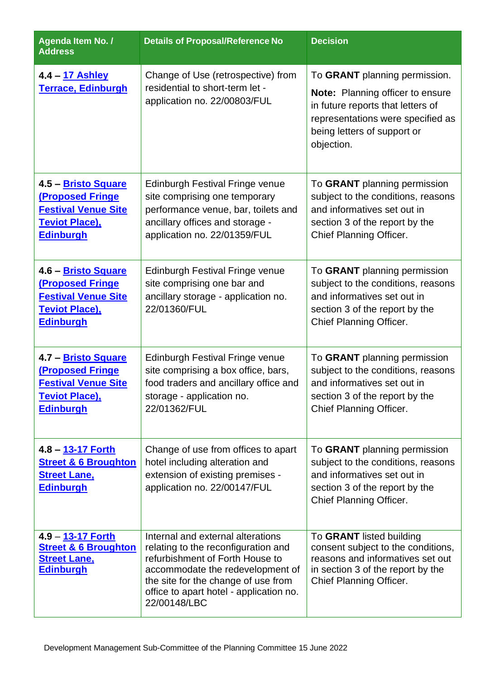| Agenda Item No. /<br><b>Address</b>                                                                                        | <b>Details of Proposal/Reference No</b>                                                                                                                                                                                                           | <b>Decision</b>                                                                                                                                                                          |
|----------------------------------------------------------------------------------------------------------------------------|---------------------------------------------------------------------------------------------------------------------------------------------------------------------------------------------------------------------------------------------------|------------------------------------------------------------------------------------------------------------------------------------------------------------------------------------------|
| 4.4 – 17 Ashley<br><b>Terrace, Edinburgh</b>                                                                               | Change of Use (retrospective) from<br>residential to short-term let -<br>application no. 22/00803/FUL                                                                                                                                             | To GRANT planning permission.<br>Note: Planning officer to ensure<br>in future reports that letters of<br>representations were specified as<br>being letters of support or<br>objection. |
| 4.5 - Bristo Square<br><b>(Proposed Fringe)</b><br><b>Festival Venue Site</b><br><b>Teviot Place),</b><br><b>Edinburgh</b> | <b>Edinburgh Festival Fringe venue</b><br>site comprising one temporary<br>performance venue, bar, toilets and<br>ancillary offices and storage -<br>application no. 22/01359/FUL                                                                 | To GRANT planning permission<br>subject to the conditions, reasons<br>and informatives set out in<br>section 3 of the report by the<br>Chief Planning Officer.                           |
| 4.6 – Bristo Square<br><b>(Proposed Fringe</b><br><b>Festival Venue Site</b><br><b>Teviot Place),</b><br><b>Edinburgh</b>  | <b>Edinburgh Festival Fringe venue</b><br>site comprising one bar and<br>ancillary storage - application no.<br>22/01360/FUL                                                                                                                      | To GRANT planning permission<br>subject to the conditions, reasons<br>and informatives set out in<br>section 3 of the report by the<br>Chief Planning Officer.                           |
| 4.7 - Bristo Square<br><b>(Proposed Fringe</b><br><b>Festival Venue Site</b><br><b>Teviot Place),</b><br><b>Edinburgh</b>  | Edinburgh Festival Fringe venue<br>site comprising a box office, bars,<br>food traders and ancillary office and<br>storage - application no.<br>22/01362/FUL                                                                                      | To GRANT planning permission<br>subject to the conditions, reasons<br>and informatives set out in<br>section 3 of the report by the<br><b>Chief Planning Officer.</b>                    |
| 4.8 – 13-17 Forth<br><b>Street &amp; 6 Broughton</b><br><b>Street Lane,</b><br><b>Edinburgh</b>                            | Change of use from offices to apart<br>hotel including alteration and<br>extension of existing premises -<br>application no. 22/00147/FUL                                                                                                         | To GRANT planning permission<br>subject to the conditions, reasons<br>and informatives set out in<br>section 3 of the report by the<br>Chief Planning Officer.                           |
| 4.9 - 13-17 Forth<br><b>Street &amp; 6 Broughton</b><br><b>Street Lane,</b><br><b>Edinburgh</b>                            | Internal and external alterations<br>relating to the reconfiguration and<br>refurbishment of Forth House to<br>accommodate the redevelopment of<br>the site for the change of use from<br>office to apart hotel - application no.<br>22/00148/LBC | To GRANT listed building<br>consent subject to the conditions,<br>reasons and informatives set out<br>in section 3 of the report by the<br>Chief Planning Officer.                       |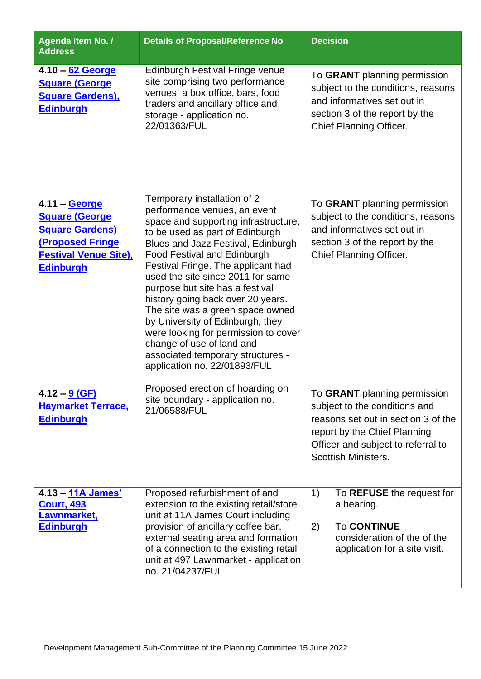| Agenda Item No. /<br><b>Address</b>                                                                                                              | <b>Details of Proposal/Reference No</b>                                                                                                                                                                                                                                                                                                                                                                                                                                                                                                                                                 | <b>Decision</b>                                                                                                                                                                                          |
|--------------------------------------------------------------------------------------------------------------------------------------------------|-----------------------------------------------------------------------------------------------------------------------------------------------------------------------------------------------------------------------------------------------------------------------------------------------------------------------------------------------------------------------------------------------------------------------------------------------------------------------------------------------------------------------------------------------------------------------------------------|----------------------------------------------------------------------------------------------------------------------------------------------------------------------------------------------------------|
| 4.10 - 62 George<br><b>Square (George)</b><br><b>Square Gardens),</b><br><b>Edinburgh</b>                                                        | <b>Edinburgh Festival Fringe venue</b><br>site comprising two performance<br>venues, a box office, bars, food<br>traders and ancillary office and<br>storage - application no.<br>22/01363/FUL                                                                                                                                                                                                                                                                                                                                                                                          | To GRANT planning permission<br>subject to the conditions, reasons<br>and informatives set out in<br>section 3 of the report by the<br>Chief Planning Officer.                                           |
| 4.11 - George<br><b>Square (George)</b><br><b>Square Gardens)</b><br><b>(Proposed Fringe</b><br><b>Festival Venue Site),</b><br><b>Edinburgh</b> | Temporary installation of 2<br>performance venues, an event<br>space and supporting infrastructure,<br>to be used as part of Edinburgh<br>Blues and Jazz Festival, Edinburgh<br><b>Food Festival and Edinburgh</b><br>Festival Fringe. The applicant had<br>used the site since 2011 for same<br>purpose but site has a festival<br>history going back over 20 years.<br>The site was a green space owned<br>by University of Edinburgh, they<br>were looking for permission to cover<br>change of use of land and<br>associated temporary structures -<br>application no. 22/01893/FUL | To GRANT planning permission<br>subject to the conditions, reasons<br>and informatives set out in<br>section 3 of the report by the<br>Chief Planning Officer.                                           |
| 4.12 – <u>9 (GF)</u><br><b>Haymarket Terrace,</b><br><b>Edinburgh</b>                                                                            | Proposed erection of hoarding on<br>site boundary - application no.<br>21/06588/FUL                                                                                                                                                                                                                                                                                                                                                                                                                                                                                                     | To GRANT planning permission<br>subject to the conditions and<br>reasons set out in section 3 of the<br>report by the Chief Planning<br>Officer and subject to referral to<br><b>Scottish Ministers.</b> |
| 4.13 - 11A James'<br><b>Court, 493</b><br>Lawnmarket,<br><b>Edinburgh</b>                                                                        | Proposed refurbishment of and<br>extension to the existing retail/store<br>unit at 11A James Court including<br>provision of ancillary coffee bar,<br>external seating area and formation<br>of a connection to the existing retail<br>unit at 497 Lawnmarket - application<br>no. 21/04237/FUL                                                                                                                                                                                                                                                                                         | 1)<br>To REFUSE the request for<br>a hearing.<br><b>To CONTINUE</b><br>2)<br>consideration of the of the<br>application for a site visit.                                                                |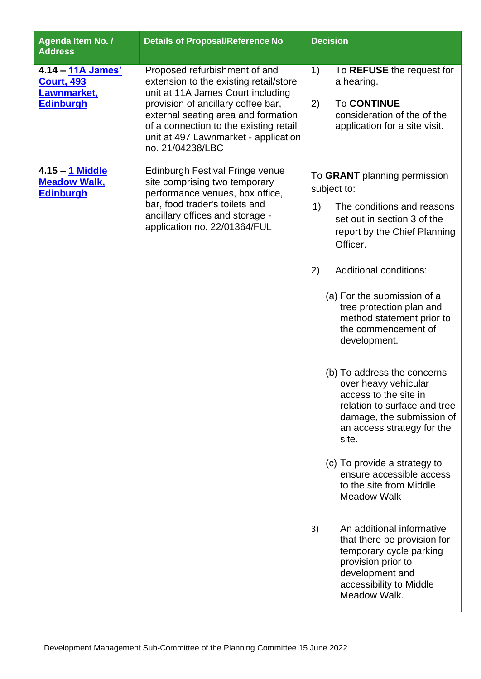| Agenda Item No. /<br><b>Address</b>                                       | <b>Details of Proposal/Reference No</b>                                                                                                                                                                                                                                                         | <b>Decision</b>                                                                                                                                                                                                                                                                                                                                                                                                                                                                                                                                                                                                                                                                                                                                                                                             |
|---------------------------------------------------------------------------|-------------------------------------------------------------------------------------------------------------------------------------------------------------------------------------------------------------------------------------------------------------------------------------------------|-------------------------------------------------------------------------------------------------------------------------------------------------------------------------------------------------------------------------------------------------------------------------------------------------------------------------------------------------------------------------------------------------------------------------------------------------------------------------------------------------------------------------------------------------------------------------------------------------------------------------------------------------------------------------------------------------------------------------------------------------------------------------------------------------------------|
| 4.14 - 11A James'<br><b>Court, 493</b><br>Lawnmarket,<br><b>Edinburgh</b> | Proposed refurbishment of and<br>extension to the existing retail/store<br>unit at 11A James Court including<br>provision of ancillary coffee bar,<br>external seating area and formation<br>of a connection to the existing retail<br>unit at 497 Lawnmarket - application<br>no. 21/04238/LBC | 1)<br>To REFUSE the request for<br>a hearing.<br>2)<br><b>To CONTINUE</b><br>consideration of the of the<br>application for a site visit.                                                                                                                                                                                                                                                                                                                                                                                                                                                                                                                                                                                                                                                                   |
| 4.15 - 1 Middle<br><b>Meadow Walk,</b><br><b>Edinburgh</b>                | <b>Edinburgh Festival Fringe venue</b><br>site comprising two temporary<br>performance venues, box office,<br>bar, food trader's toilets and<br>ancillary offices and storage -<br>application no. 22/01364/FUL                                                                                 | To GRANT planning permission<br>subject to:<br>The conditions and reasons<br>1)<br>set out in section 3 of the<br>report by the Chief Planning<br>Officer.<br>Additional conditions:<br>2)<br>(a) For the submission of a<br>tree protection plan and<br>method statement prior to<br>the commencement of<br>development.<br>(b) To address the concerns<br>over heavy vehicular<br>access to the site in<br>relation to surface and tree<br>damage, the submission of<br>an access strategy for the<br>site.<br>(c) To provide a strategy to<br>ensure accessible access<br>to the site from Middle<br><b>Meadow Walk</b><br>An additional informative<br>3)<br>that there be provision for<br>temporary cycle parking<br>provision prior to<br>development and<br>accessibility to Middle<br>Meadow Walk. |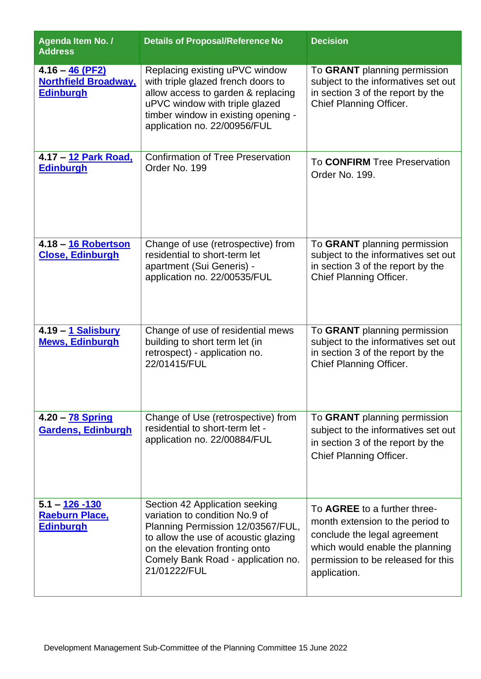| Agenda Item No. /<br><b>Address</b>                                  | <b>Details of Proposal/Reference No</b>                                                                                                                                                                                               | <b>Decision</b>                                                                                                                                                                           |
|----------------------------------------------------------------------|---------------------------------------------------------------------------------------------------------------------------------------------------------------------------------------------------------------------------------------|-------------------------------------------------------------------------------------------------------------------------------------------------------------------------------------------|
| $4.16 - 46$ (PF2)<br><b>Northfield Broadway,</b><br><b>Edinburgh</b> | Replacing existing uPVC window<br>with triple glazed french doors to<br>allow access to garden & replacing<br>uPVC window with triple glazed<br>timber window in existing opening -<br>application no. 22/00956/FUL                   | To GRANT planning permission<br>subject to the informatives set out<br>in section 3 of the report by the<br>Chief Planning Officer.                                                       |
| 4.17 - 12 Park Road,<br><b>Edinburgh</b>                             | <b>Confirmation of Tree Preservation</b><br>Order No. 199                                                                                                                                                                             | To <b>CONFIRM</b> Tree Preservation<br>Order No. 199.                                                                                                                                     |
| 4.18 - 16 Robertson<br><b>Close, Edinburgh</b>                       | Change of use (retrospective) from<br>residential to short-term let<br>apartment (Sui Generis) -<br>application no. 22/00535/FUL                                                                                                      | To GRANT planning permission<br>subject to the informatives set out<br>in section 3 of the report by the<br>Chief Planning Officer.                                                       |
| 4.19 - 1 Salisbury<br><b>Mews, Edinburgh</b>                         | Change of use of residential mews<br>building to short term let (in<br>retrospect) - application no.<br>22/01415/FUL                                                                                                                  | To GRANT planning permission<br>subject to the informatives set out<br>in section 3 of the report by the<br>Chief Planning Officer.                                                       |
| 4.20 - 78 Spring<br><b>Gardens, Edinburgh</b>                        | Change of Use (retrospective) from<br>residential to short-term let -<br>application no. 22/00884/FUL                                                                                                                                 | To GRANT planning permission<br>subject to the informatives set out<br>in section 3 of the report by the<br>Chief Planning Officer.                                                       |
| $5.1 - 126 - 130$<br><b>Raeburn Place,</b><br><b>Edinburgh</b>       | Section 42 Application seeking<br>variation to condition No.9 of<br>Planning Permission 12/03567/FUL,<br>to allow the use of acoustic glazing<br>on the elevation fronting onto<br>Comely Bank Road - application no.<br>21/01222/FUL | To AGREE to a further three-<br>month extension to the period to<br>conclude the legal agreement<br>which would enable the planning<br>permission to be released for this<br>application. |